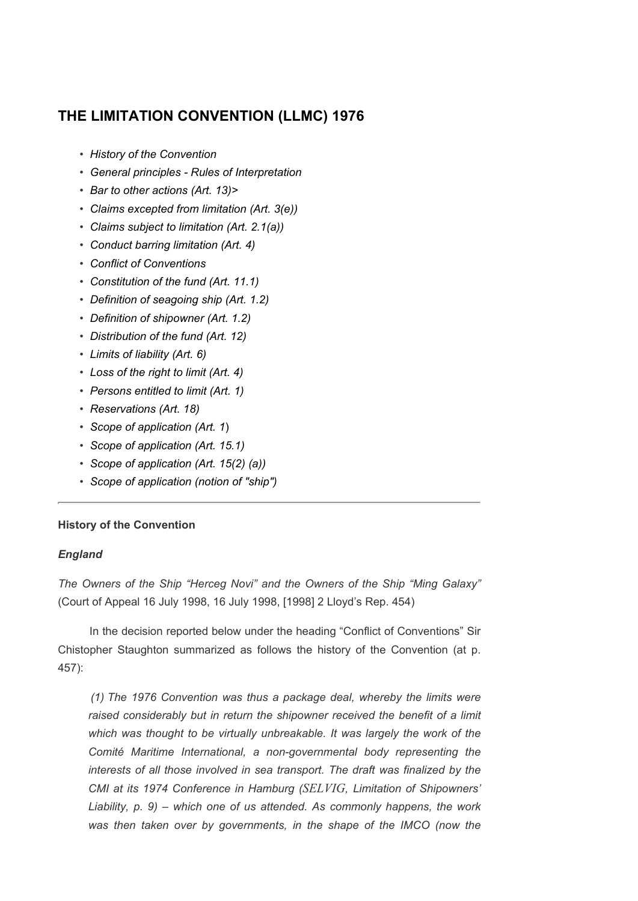# THE LIMITATION CONVENTION (LLMC) 1976

- History of the Convention
- General principles Rules of Interpretation
- Bar to other actions (Art. 13)>
- Claims excepted from limitation (Art. 3(e))
- Claims subject to limitation (Art. 2.1(a))
- Conduct barring limitation (Art. 4)
- Conflict of Conventions
- Constitution of the fund (Art. 11.1)
- Definition of seagoing ship (Art. 1.2)
- Definition of shipowner (Art. 1.2)
- Distribution of the fund (Art. 12)
- Limits of liability (Art. 6)
- Loss of the right to limit (Art. 4)
- Persons entitled to limit (Art. 1)
- Reservations (Art. 18)
- Scope of application (Art. 1)
- Scope of application (Art. 15.1)
- Scope of application (Art. 15(2) (a))
- Scope of application (notion of "ship")

# History of the Convention

# England

The Owners of the Ship "Herceg Novi" and the Owners of the Ship "Ming Galaxy" (Court of Appeal 16 July 1998, 16 July 1998, [1998] 2 Lloyd's Rep. 454)

 In the decision reported below under the heading "Conflict of Conventions" Sir Chistopher Staughton summarized as follows the history of the Convention (at p. 457):

 (1) The 1976 Convention was thus a package deal, whereby the limits were raised considerably but in return the shipowner received the benefit of a limit which was thought to be virtually unbreakable. It was largely the work of the Comité Maritime International, a non-governmental body representing the interests of all those involved in sea transport. The draft was finalized by the CMI at its 1974 Conference in Hamburg (SELVIG, Limitation of Shipowners' Liability, p. 9) – which one of us attended. As commonly happens, the work was then taken over by governments, in the shape of the IMCO (now the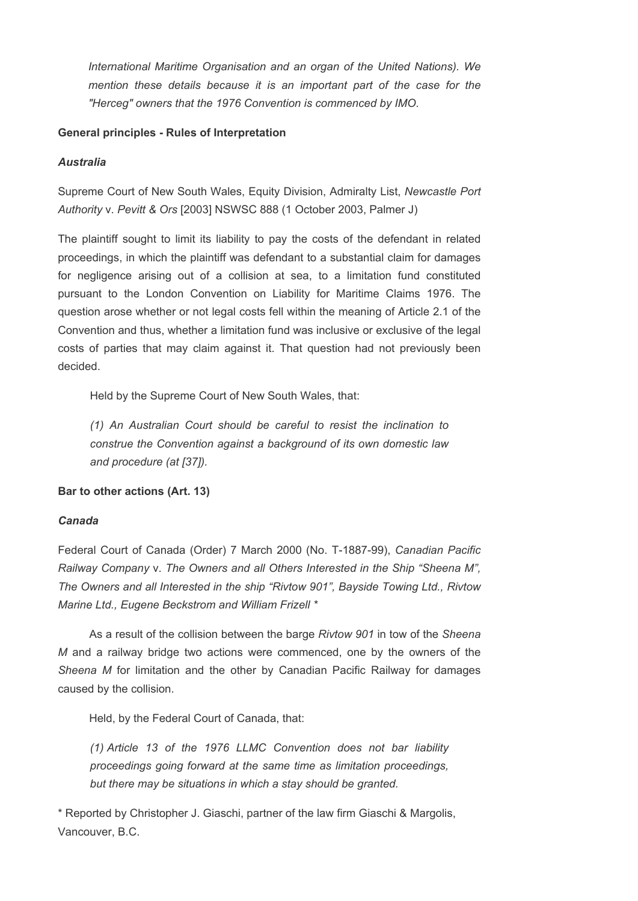International Maritime Organisation and an organ of the United Nations). We mention these details because it is an important part of the case for the "Herceg" owners that the 1976 Convention is commenced by IMO.

# General principles - Rules of Interpretation

# Australia

Supreme Court of New South Wales, Equity Division, Admiralty List, Newcastle Port Authority v. Pevitt & Ors [2003] NSWSC 888 (1 October 2003, Palmer J)

The plaintiff sought to limit its liability to pay the costs of the defendant in related proceedings, in which the plaintiff was defendant to a substantial claim for damages for negligence arising out of a collision at sea, to a limitation fund constituted pursuant to the London Convention on Liability for Maritime Claims 1976. The question arose whether or not legal costs fell within the meaning of Article 2.1 of the Convention and thus, whether a limitation fund was inclusive or exclusive of the legal costs of parties that may claim against it. That question had not previously been decided.

Held by the Supreme Court of New South Wales, that:

(1) An Australian Court should be careful to resist the inclination to construe the Convention against a background of its own domestic law and procedure (at [37]).

# Bar to other actions (Art. 13)

# Canada

Federal Court of Canada (Order) 7 March 2000 (No. T-1887-99), Canadian Pacific Railway Company v. The Owners and all Others Interested in the Ship "Sheena M", The Owners and all Interested in the ship "Rivtow 901", Bayside Towing Ltd., Rivtow Marine Ltd., Eugene Beckstrom and William Frizell \*

As a result of the collision between the barge Rivtow 901 in tow of the Sheena M and a railway bridge two actions were commenced, one by the owners of the Sheena M for limitation and the other by Canadian Pacific Railway for damages caused by the collision.

Held, by the Federal Court of Canada, that:

(1) Article 13 of the 1976 LLMC Convention does not bar liability proceedings going forward at the same time as limitation proceedings, but there may be situations in which a stay should be granted.

\* Reported by Christopher J. Giaschi, partner of the law firm Giaschi & Margolis, Vancouver, B.C.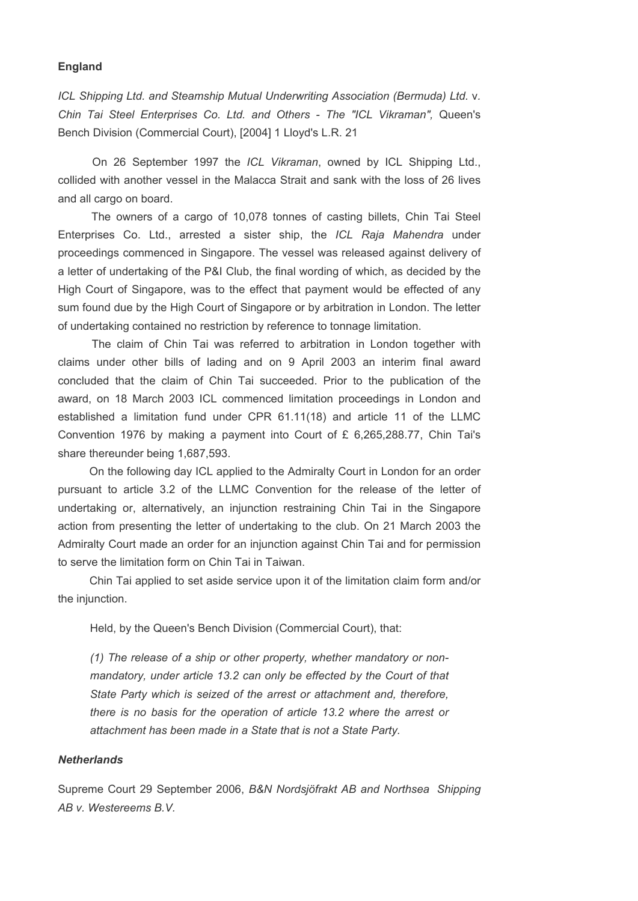#### England

ICL Shipping Ltd. and Steamship Mutual Underwriting Association (Bermuda) Ltd. v. Chin Tai Steel Enterprises Co. Ltd. and Others - The "ICL Vikraman", Queen's Bench Division (Commercial Court), [2004] 1 Lloyd's L.R. 21

 On 26 September 1997 the ICL Vikraman, owned by ICL Shipping Ltd., collided with another vessel in the Malacca Strait and sank with the loss of 26 lives and all cargo on board.

 The owners of a cargo of 10,078 tonnes of casting billets, Chin Tai Steel Enterprises Co. Ltd., arrested a sister ship, the ICL Raja Mahendra under proceedings commenced in Singapore. The vessel was released against delivery of a letter of undertaking of the P&I Club, the final wording of which, as decided by the High Court of Singapore, was to the effect that payment would be effected of any sum found due by the High Court of Singapore or by arbitration in London. The letter of undertaking contained no restriction by reference to tonnage limitation.

 The claim of Chin Tai was referred to arbitration in London together with claims under other bills of lading and on 9 April 2003 an interim final award concluded that the claim of Chin Tai succeeded. Prior to the publication of the award, on 18 March 2003 ICL commenced limitation proceedings in London and established a limitation fund under CPR 61.11(18) and article 11 of the LLMC Convention 1976 by making a payment into Court of £ 6,265,288.77, Chin Tai's share thereunder being 1,687,593.

 On the following day ICL applied to the Admiralty Court in London for an order pursuant to article 3.2 of the LLMC Convention for the release of the letter of undertaking or, alternatively, an injunction restraining Chin Tai in the Singapore action from presenting the letter of undertaking to the club. On 21 March 2003 the Admiralty Court made an order for an injunction against Chin Tai and for permission to serve the limitation form on Chin Tai in Taiwan.

 Chin Tai applied to set aside service upon it of the limitation claim form and/or the injunction.

Held, by the Queen's Bench Division (Commercial Court), that:

(1) The release of a ship or other property, whether mandatory or nonmandatory, under article 13.2 can only be effected by the Court of that State Party which is seized of the arrest or attachment and, therefore, there is no basis for the operation of article 13.2 where the arrest or attachment has been made in a State that is not a State Party.

#### **Netherlands**

Supreme Court 29 September 2006, B&N Nordsjöfrakt AB and Northsea Shipping AB v. Westereems B.V.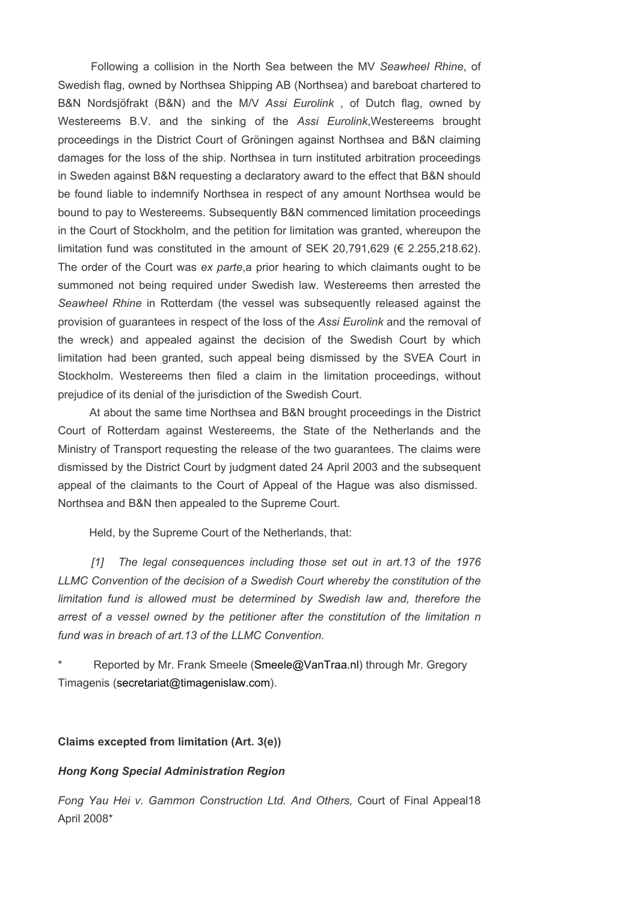Following a collision in the North Sea between the MV Seawheel Rhine, of Swedish flag, owned by Northsea Shipping AB (Northsea) and bareboat chartered to B&N Nordsjöfrakt (B&N) and the M/V Assi Eurolink, of Dutch flag, owned by Westereems B.V. and the sinking of the Assi Eurolink, Westereems brought proceedings in the District Court of Gröningen against Northsea and B&N claiming damages for the loss of the ship. Northsea in turn instituted arbitration proceedings in Sweden against B&N requesting a declaratory award to the effect that B&N should be found liable to indemnify Northsea in respect of any amount Northsea would be bound to pay to Westereems. Subsequently B&N commenced limitation proceedings in the Court of Stockholm, and the petition for limitation was granted, whereupon the limitation fund was constituted in the amount of SEK 20,791,629 ( $\in$  2.255,218.62). The order of the Court was ex parte, a prior hearing to which claimants ought to be summoned not being required under Swedish law. Westereems then arrested the Seawheel Rhine in Rotterdam (the vessel was subsequently released against the provision of guarantees in respect of the loss of the Assi Eurolink and the removal of the wreck) and appealed against the decision of the Swedish Court by which limitation had been granted, such appeal being dismissed by the SVEA Court in Stockholm. Westereems then filed a claim in the limitation proceedings, without prejudice of its denial of the jurisdiction of the Swedish Court.

 At about the same time Northsea and B&N brought proceedings in the District Court of Rotterdam against Westereems, the State of the Netherlands and the Ministry of Transport requesting the release of the two guarantees. The claims were dismissed by the District Court by judgment dated 24 April 2003 and the subsequent appeal of the claimants to the Court of Appeal of the Hague was also dismissed. Northsea and B&N then appealed to the Supreme Court.

Held, by the Supreme Court of the Netherlands, that:

[1] The legal consequences including those set out in art.13 of the 1976 LLMC Convention of the decision of a Swedish Court whereby the constitution of the limitation fund is allowed must be determined by Swedish law and, therefore the arrest of a vessel owned by the petitioner after the constitution of the limitation n fund was in breach of art.13 of the LLMC Convention.

Reported by Mr. Frank Smeele (Smeele@VanTraa.nl) through Mr. Gregory Timagenis (secretariat@timagenislaw.com).

#### Claims excepted from limitation (Art. 3(e))

### Hong Kong Special Administration Region

Fong Yau Hei v. Gammon Construction Ltd. And Others, Court of Final Appeal18 April 2008\*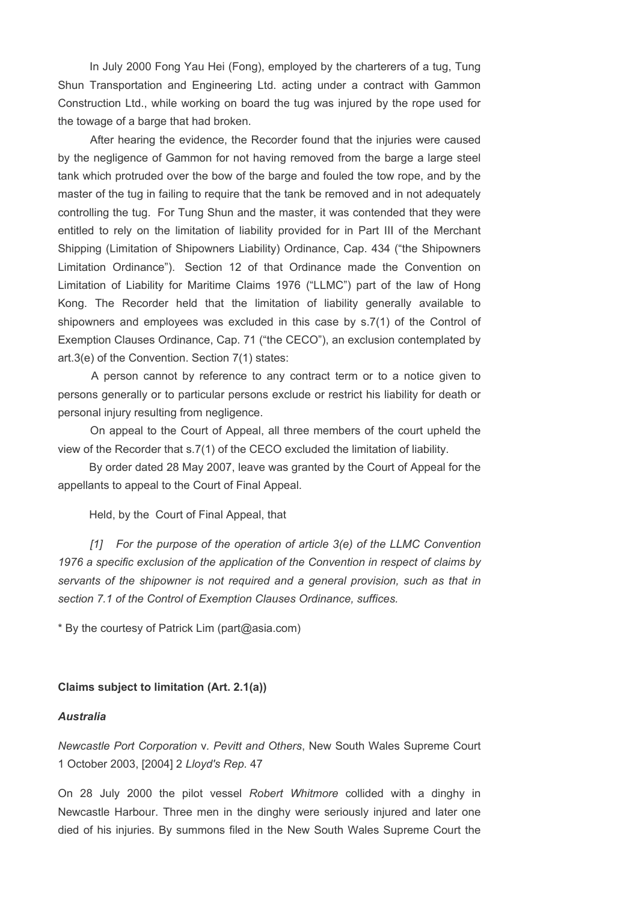In July 2000 Fong Yau Hei (Fong), employed by the charterers of a tug, Tung Shun Transportation and Engineering Ltd. acting under a contract with Gammon Construction Ltd., while working on board the tug was injured by the rope used for the towage of a barge that had broken.

 After hearing the evidence, the Recorder found that the injuries were caused by the negligence of Gammon for not having removed from the barge a large steel tank which protruded over the bow of the barge and fouled the tow rope, and by the master of the tug in failing to require that the tank be removed and in not adequately controlling the tug. For Tung Shun and the master, it was contended that they were entitled to rely on the limitation of liability provided for in Part III of the Merchant Shipping (Limitation of Shipowners Liability) Ordinance, Cap. 434 ("the Shipowners Limitation Ordinance"). Section 12 of that Ordinance made the Convention on Limitation of Liability for Maritime Claims 1976 ("LLMC") part of the law of Hong Kong. The Recorder held that the limitation of liability generally available to shipowners and employees was excluded in this case by s.7(1) of the Control of Exemption Clauses Ordinance, Cap. 71 ("the CECO"), an exclusion contemplated by art.3(e) of the Convention. Section 7(1) states:

 A person cannot by reference to any contract term or to a notice given to persons generally or to particular persons exclude or restrict his liability for death or personal injury resulting from negligence.

 On appeal to the Court of Appeal, all three members of the court upheld the view of the Recorder that s.7(1) of the CECO excluded the limitation of liability.

 By order dated 28 May 2007, leave was granted by the Court of Appeal for the appellants to appeal to the Court of Final Appeal.

Held, by the Court of Final Appeal, that

[1] For the purpose of the operation of article 3(e) of the LLMC Convention 1976 a specific exclusion of the application of the Convention in respect of claims by servants of the shipowner is not required and a general provision, such as that in section 7.1 of the Control of Exemption Clauses Ordinance, suffices.

\* By the courtesy of Patrick Lim (part@asia.com)

### Claims subject to limitation (Art. 2.1(a))

#### Australia

Newcastle Port Corporation v. Pevitt and Others, New South Wales Supreme Court 1 October 2003, [2004] 2 Lloyd's Rep. 47

On 28 July 2000 the pilot vessel Robert Whitmore collided with a dinghy in Newcastle Harbour. Three men in the dinghy were seriously injured and later one died of his injuries. By summons filed in the New South Wales Supreme Court the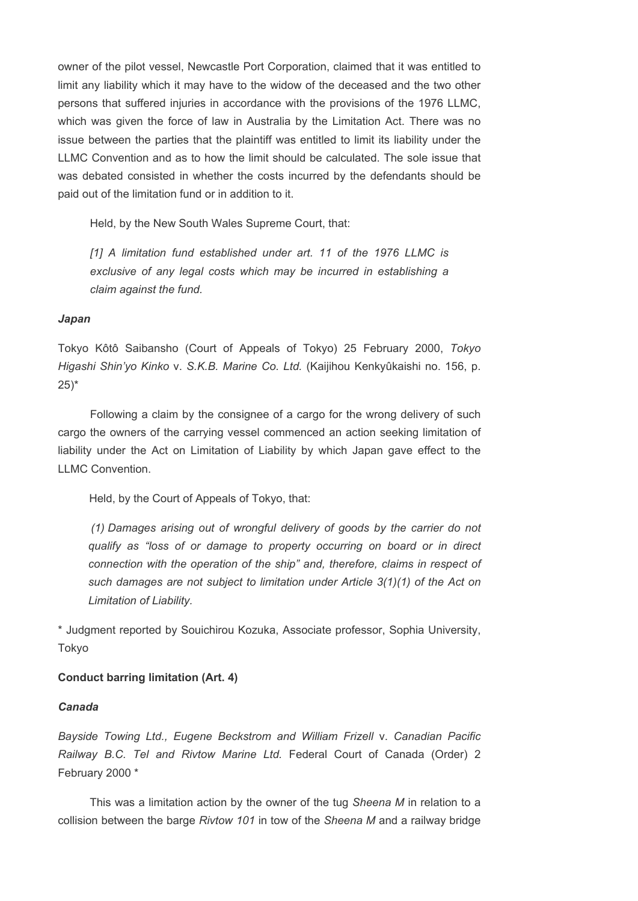owner of the pilot vessel, Newcastle Port Corporation, claimed that it was entitled to limit any liability which it may have to the widow of the deceased and the two other persons that suffered injuries in accordance with the provisions of the 1976 LLMC, which was given the force of law in Australia by the Limitation Act. There was no issue between the parties that the plaintiff was entitled to limit its liability under the LLMC Convention and as to how the limit should be calculated. The sole issue that was debated consisted in whether the costs incurred by the defendants should be paid out of the limitation fund or in addition to it.

Held, by the New South Wales Supreme Court, that:

[1] A limitation fund established under art. 11 of the 1976 LLMC is exclusive of any legal costs which may be incurred in establishing a claim against the fund.

### Japan

Tokyo Kôtô Saibansho (Court of Appeals of Tokyo) 25 February 2000, Tokyo Higashi Shin'yo Kinko v. S.K.B. Marine Co. Ltd. (Kaijihou Kenkyûkaishi no. 156, p.  $25)$ \*

 Following a claim by the consignee of a cargo for the wrong delivery of such cargo the owners of the carrying vessel commenced an action seeking limitation of liability under the Act on Limitation of Liability by which Japan gave effect to the LLMC Convention.

Held, by the Court of Appeals of Tokyo, that:

 (1) Damages arising out of wrongful delivery of goods by the carrier do not qualify as "loss of or damage to property occurring on board or in direct connection with the operation of the ship" and, therefore, claims in respect of such damages are not subject to limitation under Article 3(1)(1) of the Act on Limitation of Liability.

\* Judgment reported by Souichirou Kozuka, Associate professor, Sophia University, Tokyo

# Conduct barring limitation (Art. 4)

### Canada

Bayside Towing Ltd., Eugene Beckstrom and William Frizell v. Canadian Pacific Railway B.C. Tel and Rivtow Marine Ltd. Federal Court of Canada (Order) 2 February 2000 \*

This was a limitation action by the owner of the tug Sheena M in relation to a collision between the barge Rivtow 101 in tow of the Sheena M and a railway bridge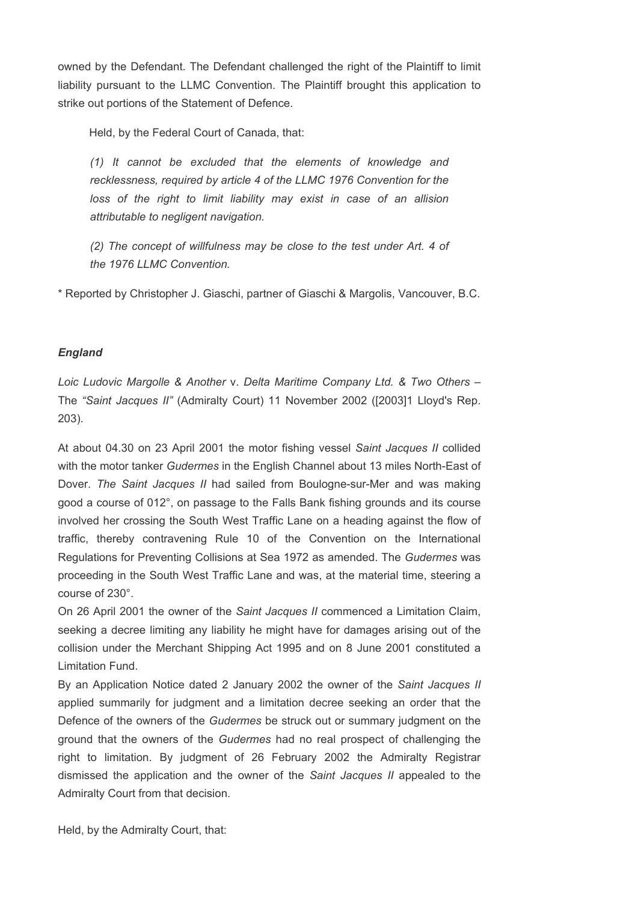owned by the Defendant. The Defendant challenged the right of the Plaintiff to limit liability pursuant to the LLMC Convention. The Plaintiff brought this application to strike out portions of the Statement of Defence.

Held, by the Federal Court of Canada, that:

(1) It cannot be excluded that the elements of knowledge and recklessness, required by article 4 of the LLMC 1976 Convention for the loss of the right to limit liability may exist in case of an allision attributable to negligent navigation.

(2) The concept of willfulness may be close to the test under Art. 4 of the 1976 LLMC Convention.

\* Reported by Christopher J. Giaschi, partner of Giaschi & Margolis, Vancouver, B.C.

# England

Loic Ludovic Margolle & Another v. Delta Maritime Company Ltd. & Two Others – The "Saint Jacques II" (Admiralty Court) 11 November 2002 ([2003]1 Lloyd's Rep. 203).

At about 04.30 on 23 April 2001 the motor fishing vessel Saint Jacques II collided with the motor tanker Gudermes in the English Channel about 13 miles North-East of Dover. The Saint Jacques II had sailed from Boulogne-sur-Mer and was making good a course of 012°, on passage to the Falls Bank fishing grounds and its course involved her crossing the South West Traffic Lane on a heading against the flow of traffic, thereby contravening Rule 10 of the Convention on the International Regulations for Preventing Collisions at Sea 1972 as amended. The Gudermes was proceeding in the South West Traffic Lane and was, at the material time, steering a course of 230°.

On 26 April 2001 the owner of the Saint Jacques II commenced a Limitation Claim, seeking a decree limiting any liability he might have for damages arising out of the collision under the Merchant Shipping Act 1995 and on 8 June 2001 constituted a Limitation Fund.

By an Application Notice dated 2 January 2002 the owner of the Saint Jacques II applied summarily for judgment and a limitation decree seeking an order that the Defence of the owners of the Gudermes be struck out or summary judgment on the ground that the owners of the Gudermes had no real prospect of challenging the right to limitation. By judgment of 26 February 2002 the Admiralty Registrar dismissed the application and the owner of the Saint Jacques II appealed to the Admiralty Court from that decision.

Held, by the Admiralty Court, that: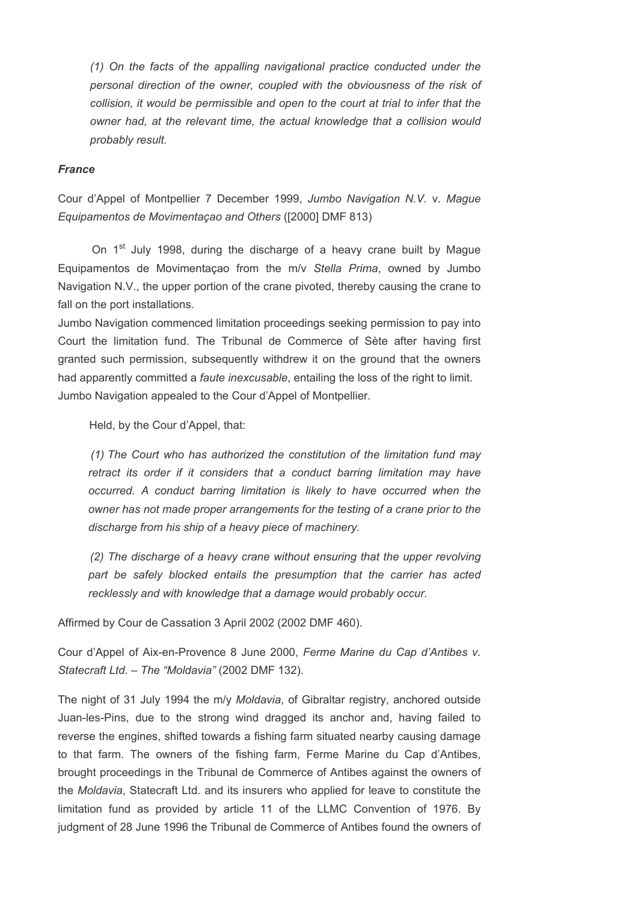(1) On the facts of the appalling navigational practice conducted under the personal direction of the owner, coupled with the obviousness of the risk of collision, it would be permissible and open to the court at trial to infer that the owner had, at the relevant time, the actual knowledge that a collision would probably result.

### France

Cour d'Appel of Montpellier 7 December 1999, Jumbo Navigation N.V. v. Mague Equipamentos de Movimentaçao and Others ([2000] DMF 813)

On 1<sup>st</sup> July 1998, during the discharge of a heavy crane built by Mague Equipamentos de Movimentaçao from the m/v Stella Prima, owned by Jumbo Navigation N.V., the upper portion of the crane pivoted, thereby causing the crane to fall on the port installations.

Jumbo Navigation commenced limitation proceedings seeking permission to pay into Court the limitation fund. The Tribunal de Commerce of Sète after having first granted such permission, subsequently withdrew it on the ground that the owners had apparently committed a *faute inexcusable*, entailing the loss of the right to limit. Jumbo Navigation appealed to the Cour d'Appel of Montpellier.

Held, by the Cour d'Appel, that:

(1) The Court who has authorized the constitution of the limitation fund may retract its order if it considers that a conduct barring limitation may have occurred. A conduct barring limitation is likely to have occurred when the owner has not made proper arrangements for the testing of a crane prior to the discharge from his ship of a heavy piece of machinery.

 (2) The discharge of a heavy crane without ensuring that the upper revolving part be safely blocked entails the presumption that the carrier has acted recklessly and with knowledge that a damage would probably occur.

Affirmed by Cour de Cassation 3 April 2002 (2002 DMF 460).

Cour d'Appel of Aix-en-Provence 8 June 2000, Ferme Marine du Cap d'Antibes v. Statecraft Ltd. – The "Moldavia" (2002 DMF 132).

The night of 31 July 1994 the m/y Moldavia, of Gibraltar registry, anchored outside Juan-les-Pins, due to the strong wind dragged its anchor and, having failed to reverse the engines, shifted towards a fishing farm situated nearby causing damage to that farm. The owners of the fishing farm, Ferme Marine du Cap d'Antibes, brought proceedings in the Tribunal de Commerce of Antibes against the owners of the Moldavia, Statecraft Ltd. and its insurers who applied for leave to constitute the limitation fund as provided by article 11 of the LLMC Convention of 1976. By judgment of 28 June 1996 the Tribunal de Commerce of Antibes found the owners of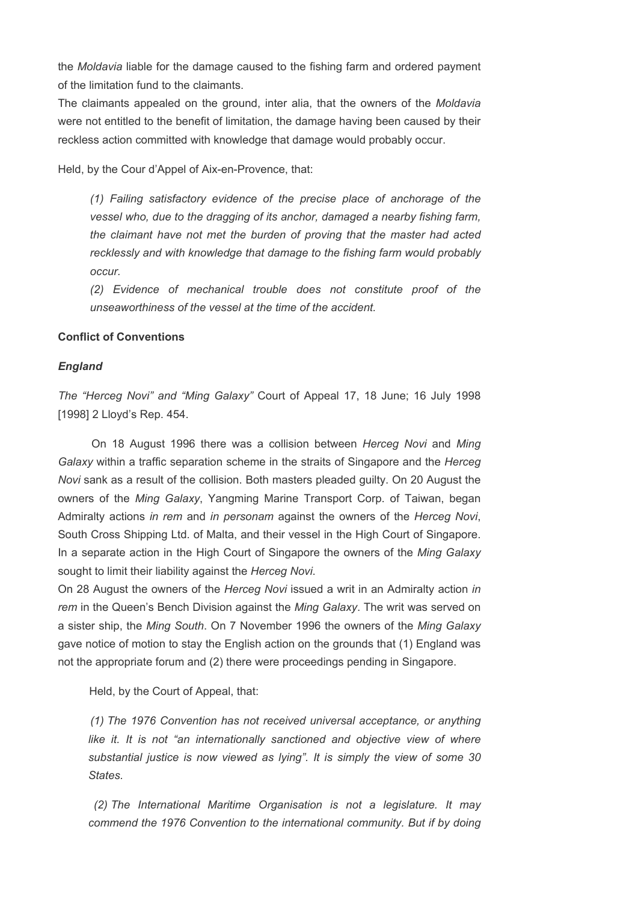the Moldavia liable for the damage caused to the fishing farm and ordered payment of the limitation fund to the claimants.

The claimants appealed on the ground, inter alia, that the owners of the *Moldavia* were not entitled to the benefit of limitation, the damage having been caused by their reckless action committed with knowledge that damage would probably occur.

Held, by the Cour d'Appel of Aix-en-Provence, that:

(1) Failing satisfactory evidence of the precise place of anchorage of the vessel who, due to the dragging of its anchor, damaged a nearby fishing farm, the claimant have not met the burden of proving that the master had acted recklessly and with knowledge that damage to the fishing farm would probably occur.

(2) Evidence of mechanical trouble does not constitute proof of the unseaworthiness of the vessel at the time of the accident.

### Conflict of Conventions

#### England

The "Herceg Novi" and "Ming Galaxy" Court of Appeal 17, 18 June; 16 July 1998 [1998] 2 Lloyd's Rep. 454.

 On 18 August 1996 there was a collision between Herceg Novi and Ming Galaxy within a traffic separation scheme in the straits of Singapore and the Herceg Novi sank as a result of the collision. Both masters pleaded guilty. On 20 August the owners of the Ming Galaxy, Yangming Marine Transport Corp. of Taiwan, began Admiralty actions in rem and in personam against the owners of the Herceg Novi, South Cross Shipping Ltd. of Malta, and their vessel in the High Court of Singapore. In a separate action in the High Court of Singapore the owners of the Ming Galaxy sought to limit their liability against the Herceg Novi.

On 28 August the owners of the Herceg Novi issued a writ in an Admiralty action in rem in the Queen's Bench Division against the Ming Galaxy. The writ was served on a sister ship, the Ming South. On 7 November 1996 the owners of the Ming Galaxy gave notice of motion to stay the English action on the grounds that (1) England was not the appropriate forum and (2) there were proceedings pending in Singapore.

Held, by the Court of Appeal, that:

 (1) The 1976 Convention has not received universal acceptance, or anything like it. It is not "an internationally sanctioned and objective view of where substantial justice is now viewed as lying". It is simply the view of some 30 States.

 (2) The International Maritime Organisation is not a legislature. It may commend the 1976 Convention to the international community. But if by doing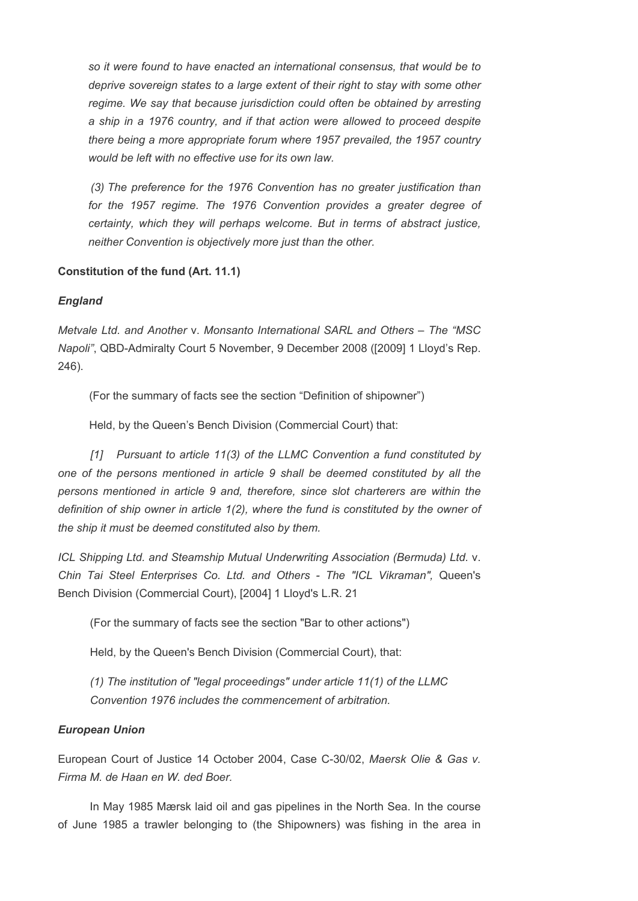so it were found to have enacted an international consensus, that would be to deprive sovereign states to a large extent of their right to stay with some other regime. We say that because jurisdiction could often be obtained by arresting a ship in a 1976 country, and if that action were allowed to proceed despite there being a more appropriate forum where 1957 prevailed, the 1957 country would be left with no effective use for its own law.

 (3) The preference for the 1976 Convention has no greater justification than for the 1957 regime. The 1976 Convention provides a greater degree of certainty, which they will perhaps welcome. But in terms of abstract justice, neither Convention is objectively more just than the other.

# Constitution of the fund (Art. 11.1)

# England

Metvale Ltd. and Another v. Monsanto International SARL and Others – The "MSC Napoli", QBD-Admiralty Court 5 November, 9 December 2008 ([2009] 1 Lloyd's Rep. 246).

(For the summary of facts see the section "Definition of shipowner")

Held, by the Queen's Bench Division (Commercial Court) that:

[1] Pursuant to article 11(3) of the LLMC Convention a fund constituted by one of the persons mentioned in article 9 shall be deemed constituted by all the persons mentioned in article 9 and, therefore, since slot charterers are within the definition of ship owner in article 1(2), where the fund is constituted by the owner of the ship it must be deemed constituted also by them.

ICL Shipping Ltd. and Steamship Mutual Underwriting Association (Bermuda) Ltd. v. Chin Tai Steel Enterprises Co. Ltd. and Others - The "ICL Vikraman", Queen's Bench Division (Commercial Court), [2004] 1 Lloyd's L.R. 21

(For the summary of facts see the section "Bar to other actions")

Held, by the Queen's Bench Division (Commercial Court), that:

(1) The institution of "legal proceedings" under article 11(1) of the LLMC Convention 1976 includes the commencement of arbitration.

# European Union

European Court of Justice 14 October 2004, Case C-30/02, Maersk Olie & Gas v. Firma M. de Haan en W. ded Boer.

 In May 1985 Mærsk laid oil and gas pipelines in the North Sea. In the course of June 1985 a trawler belonging to (the Shipowners) was fishing in the area in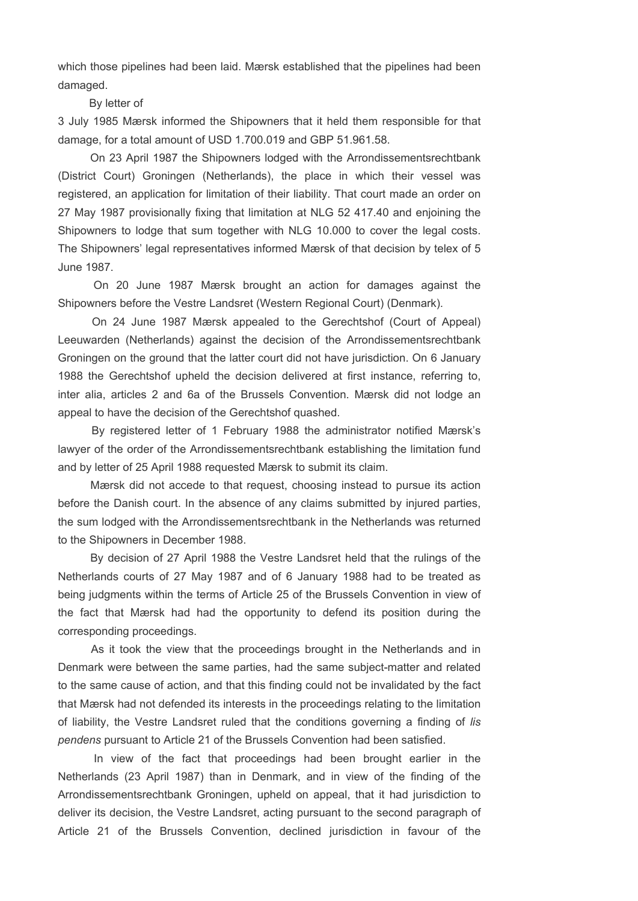which those pipelines had been laid. Mærsk established that the pipelines had been damaged.

### By letter of

3 July 1985 Mærsk informed the Shipowners that it held them responsible for that damage, for a total amount of USD 1.700.019 and GBP 51.961.58.

 On 23 April 1987 the Shipowners lodged with the Arrondissementsrechtbank (District Court) Groningen (Netherlands), the place in which their vessel was registered, an application for limitation of their liability. That court made an order on 27 May 1987 provisionally fixing that limitation at NLG 52 417.40 and enjoining the Shipowners to lodge that sum together with NLG 10.000 to cover the legal costs. The Shipowners' legal representatives informed Mærsk of that decision by telex of 5 June 1987.

 On 20 June 1987 Mærsk brought an action for damages against the Shipowners before the Vestre Landsret (Western Regional Court) (Denmark).

 On 24 June 1987 Mærsk appealed to the Gerechtshof (Court of Appeal) Leeuwarden (Netherlands) against the decision of the Arrondissementsrechtbank Groningen on the ground that the latter court did not have jurisdiction. On 6 January 1988 the Gerechtshof upheld the decision delivered at first instance, referring to, inter alia, articles 2 and 6a of the Brussels Convention. Mærsk did not lodge an appeal to have the decision of the Gerechtshof quashed.

 By registered letter of 1 February 1988 the administrator notified Mærsk's lawyer of the order of the Arrondissementsrechtbank establishing the limitation fund and by letter of 25 April 1988 requested Mærsk to submit its claim.

 Mærsk did not accede to that request, choosing instead to pursue its action before the Danish court. In the absence of any claims submitted by injured parties, the sum lodged with the Arrondissementsrechtbank in the Netherlands was returned to the Shipowners in December 1988.

 By decision of 27 April 1988 the Vestre Landsret held that the rulings of the Netherlands courts of 27 May 1987 and of 6 January 1988 had to be treated as being judgments within the terms of Article 25 of the Brussels Convention in view of the fact that Mærsk had had the opportunity to defend its position during the corresponding proceedings.

 As it took the view that the proceedings brought in the Netherlands and in Denmark were between the same parties, had the same subject-matter and related to the same cause of action, and that this finding could not be invalidated by the fact that Mærsk had not defended its interests in the proceedings relating to the limitation of liability, the Vestre Landsret ruled that the conditions governing a finding of lis pendens pursuant to Article 21 of the Brussels Convention had been satisfied.

 In view of the fact that proceedings had been brought earlier in the Netherlands (23 April 1987) than in Denmark, and in view of the finding of the Arrondissementsrechtbank Groningen, upheld on appeal, that it had jurisdiction to deliver its decision, the Vestre Landsret, acting pursuant to the second paragraph of Article 21 of the Brussels Convention, declined jurisdiction in favour of the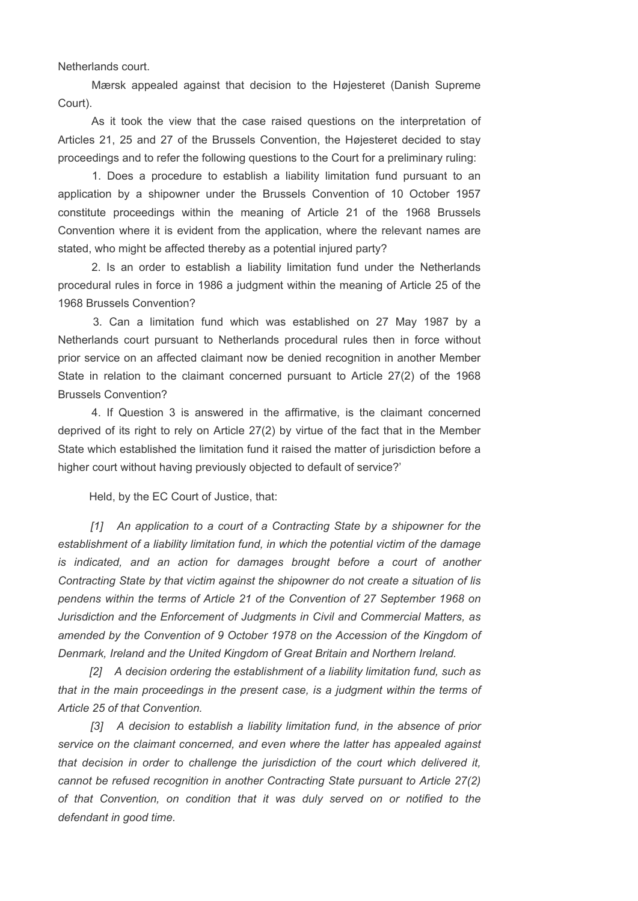Netherlands court.

 Mærsk appealed against that decision to the Højesteret (Danish Supreme Court).

 As it took the view that the case raised questions on the interpretation of Articles 21, 25 and 27 of the Brussels Convention, the Højesteret decided to stay proceedings and to refer the following questions to the Court for a preliminary ruling:

 1. Does a procedure to establish a liability limitation fund pursuant to an application by a shipowner under the Brussels Convention of 10 October 1957 constitute proceedings within the meaning of Article 21 of the 1968 Brussels Convention where it is evident from the application, where the relevant names are stated, who might be affected thereby as a potential injured party?

 2. Is an order to establish a liability limitation fund under the Netherlands procedural rules in force in 1986 a judgment within the meaning of Article 25 of the 1968 Brussels Convention?

 3. Can a limitation fund which was established on 27 May 1987 by a Netherlands court pursuant to Netherlands procedural rules then in force without prior service on an affected claimant now be denied recognition in another Member State in relation to the claimant concerned pursuant to Article 27(2) of the 1968 Brussels Convention?

 4. If Question 3 is answered in the affirmative, is the claimant concerned deprived of its right to rely on Article 27(2) by virtue of the fact that in the Member State which established the limitation fund it raised the matter of jurisdiction before a higher court without having previously objected to default of service?'

Held, by the EC Court of Justice, that:

[1] An application to a court of a Contracting State by a shipowner for the establishment of a liability limitation fund, in which the potential victim of the damage is indicated, and an action for damages brought before a court of another Contracting State by that victim against the shipowner do not create a situation of lis pendens within the terms of Article 21 of the Convention of 27 September 1968 on Jurisdiction and the Enforcement of Judgments in Civil and Commercial Matters, as amended by the Convention of 9 October 1978 on the Accession of the Kingdom of Denmark, Ireland and the United Kingdom of Great Britain and Northern Ireland.

[2] A decision ordering the establishment of a liability limitation fund, such as that in the main proceedings in the present case, is a judgment within the terms of Article 25 of that Convention.

 [3] A decision to establish a liability limitation fund, in the absence of prior service on the claimant concerned, and even where the latter has appealed against that decision in order to challenge the jurisdiction of the court which delivered it, cannot be refused recognition in another Contracting State pursuant to Article 27(2) of that Convention, on condition that it was duly served on or notified to the defendant in good time.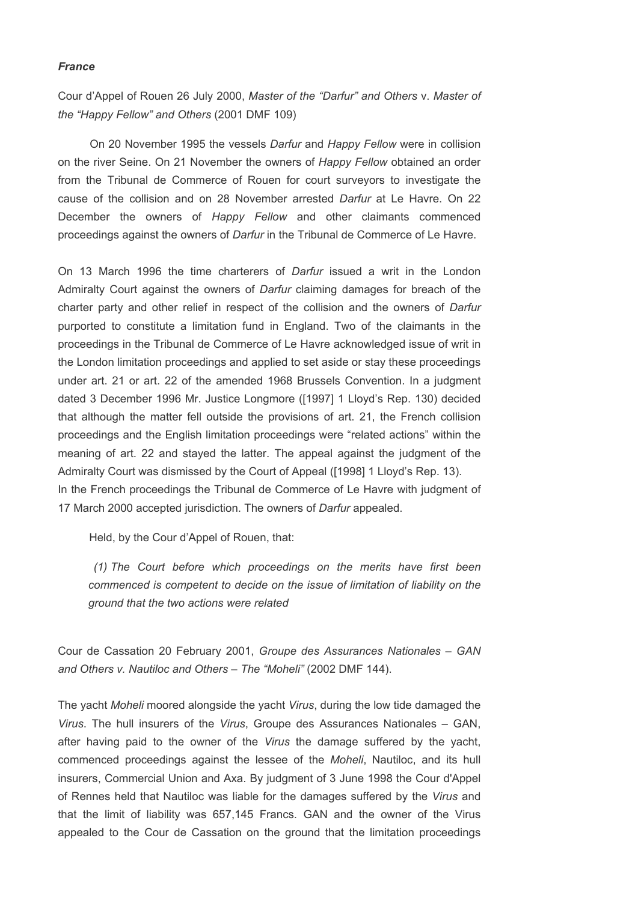### France

Cour d'Appel of Rouen 26 July 2000, Master of the "Darfur" and Others v. Master of the "Happy Fellow" and Others (2001 DMF 109)

 On 20 November 1995 the vessels Darfur and Happy Fellow were in collision on the river Seine. On 21 November the owners of Happy Fellow obtained an order from the Tribunal de Commerce of Rouen for court surveyors to investigate the cause of the collision and on 28 November arrested Darfur at Le Havre. On 22 December the owners of Happy Fellow and other claimants commenced proceedings against the owners of Darfur in the Tribunal de Commerce of Le Havre.

On 13 March 1996 the time charterers of Darfur issued a writ in the London Admiralty Court against the owners of *Darfur* claiming damages for breach of the charter party and other relief in respect of the collision and the owners of Darfur purported to constitute a limitation fund in England. Two of the claimants in the proceedings in the Tribunal de Commerce of Le Havre acknowledged issue of writ in the London limitation proceedings and applied to set aside or stay these proceedings under art. 21 or art. 22 of the amended 1968 Brussels Convention. In a judgment dated 3 December 1996 Mr. Justice Longmore ([1997] 1 Lloyd's Rep. 130) decided that although the matter fell outside the provisions of art. 21, the French collision proceedings and the English limitation proceedings were "related actions" within the meaning of art. 22 and stayed the latter. The appeal against the judgment of the Admiralty Court was dismissed by the Court of Appeal ([1998] 1 Lloyd's Rep. 13). In the French proceedings the Tribunal de Commerce of Le Havre with judgment of 17 March 2000 accepted jurisdiction. The owners of Darfur appealed.

Held, by the Cour d'Appel of Rouen, that:

 (1) The Court before which proceedings on the merits have first been commenced is competent to decide on the issue of limitation of liability on the ground that the two actions were related

Cour de Cassation 20 February 2001, Groupe des Assurances Nationales – GAN and Others v. Nautiloc and Others – The "Moheli" (2002 DMF 144).

The yacht Moheli moored alongside the yacht Virus, during the low tide damaged the Virus. The hull insurers of the Virus, Groupe des Assurances Nationales – GAN, after having paid to the owner of the Virus the damage suffered by the yacht, commenced proceedings against the lessee of the Moheli, Nautiloc, and its hull insurers, Commercial Union and Axa. By judgment of 3 June 1998 the Cour d'Appel of Rennes held that Nautiloc was liable for the damages suffered by the Virus and that the limit of liability was 657,145 Francs. GAN and the owner of the Virus appealed to the Cour de Cassation on the ground that the limitation proceedings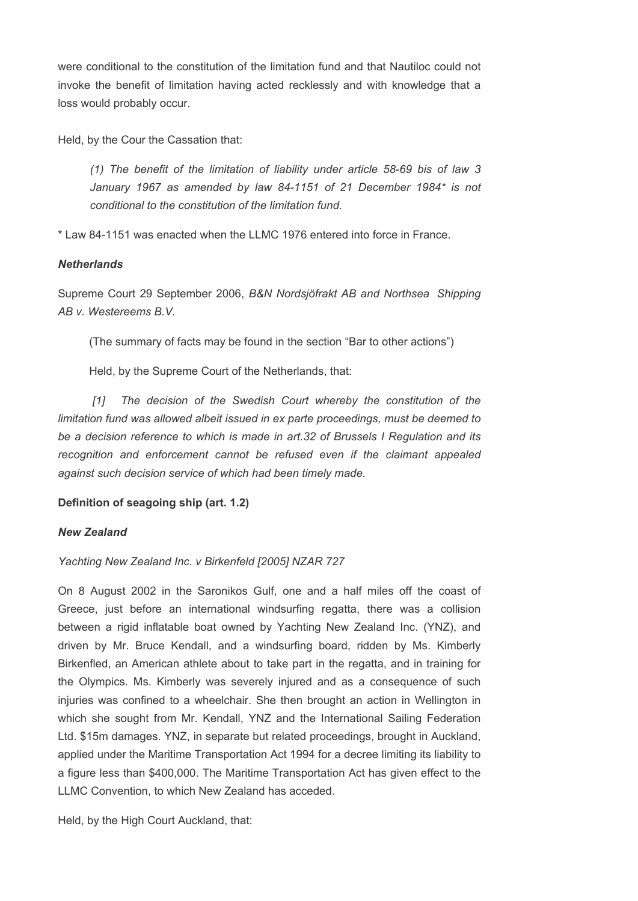were conditional to the constitution of the limitation fund and that Nautiloc could not invoke the benefit of limitation having acted recklessly and with knowledge that a loss would probably occur.

Held, by the Cour the Cassation that:

(1) The benefit of the limitation of liability under article 58-69 bis of law 3 January 1967 as amended by law 84-1151 of 21 December 1984\* is not conditional to the constitution of the limitation fund.

\* Law 84-1151 was enacted when the LLMC 1976 entered into force in France.

# **Netherlands**

Supreme Court 29 September 2006, B&N Nordsjöfrakt AB and Northsea Shipping AB v. Westereems B.V.

(The summary of facts may be found in the section "Bar to other actions")

Held, by the Supreme Court of the Netherlands, that:

[1] The decision of the Swedish Court whereby the constitution of the limitation fund was allowed albeit issued in ex parte proceedings, must be deemed to be a decision reference to which is made in art.32 of Brussels I Regulation and its recognition and enforcement cannot be refused even if the claimant appealed against such decision service of which had been timely made.

# Definition of seagoing ship (art. 1.2)

# New Zealand

# Yachting New Zealand Inc. v Birkenfeld [2005] NZAR 727

On 8 August 2002 in the Saronikos Gulf, one and a half miles off the coast of Greece, just before an international windsurfing regatta, there was a collision between a rigid inflatable boat owned by Yachting New Zealand Inc. (YNZ), and driven by Mr. Bruce Kendall, and a windsurfing board, ridden by Ms. Kimberly Birkenfled, an American athlete about to take part in the regatta, and in training for the Olympics. Ms. Kimberly was severely injured and as a consequence of such injuries was confined to a wheelchair. She then brought an action in Wellington in which she sought from Mr. Kendall, YNZ and the International Sailing Federation Ltd. \$15m damages. YNZ, in separate but related proceedings, brought in Auckland, applied under the Maritime Transportation Act 1994 for a decree limiting its liability to a figure less than \$400,000. The Maritime Transportation Act has given effect to the LLMC Convention, to which New Zealand has acceded.

Held, by the High Court Auckland, that: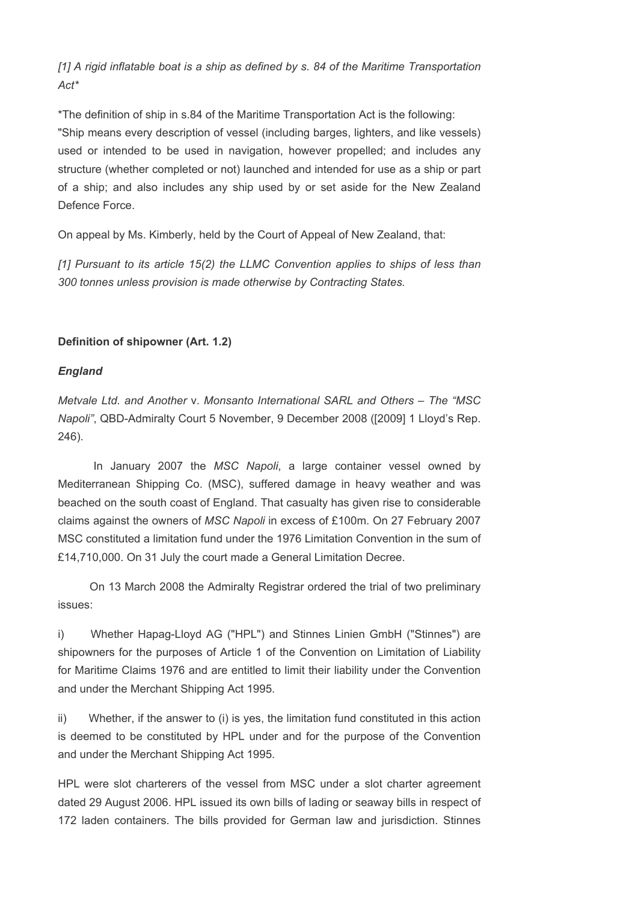[1] A rigid inflatable boat is a ship as defined by s. 84 of the Maritime Transportation  $Act^*$ 

\*The definition of ship in s.84 of the Maritime Transportation Act is the following: "Ship means every description of vessel (including barges, lighters, and like vessels) used or intended to be used in navigation, however propelled; and includes any structure (whether completed or not) launched and intended for use as a ship or part of a ship; and also includes any ship used by or set aside for the New Zealand Defence Force.

On appeal by Ms. Kimberly, held by the Court of Appeal of New Zealand, that:

[1] Pursuant to its article 15(2) the LLMC Convention applies to ships of less than 300 tonnes unless provision is made otherwise by Contracting States.

# Definition of shipowner (Art. 1.2)

# England

Metvale Ltd. and Another v. Monsanto International SARL and Others – The "MSC Napoli", QBD-Admiralty Court 5 November, 9 December 2008 ([2009] 1 Lloyd's Rep. 246).

In January 2007 the MSC Napoli, a large container vessel owned by Mediterranean Shipping Co. (MSC), suffered damage in heavy weather and was beached on the south coast of England. That casualty has given rise to considerable claims against the owners of MSC Napoli in excess of £100m. On 27 February 2007 MSC constituted a limitation fund under the 1976 Limitation Convention in the sum of £14,710,000. On 31 July the court made a General Limitation Decree.

 On 13 March 2008 the Admiralty Registrar ordered the trial of two preliminary issues:

i) Whether Hapag-Lloyd AG ("HPL") and Stinnes Linien GmbH ("Stinnes") are shipowners for the purposes of Article 1 of the Convention on Limitation of Liability for Maritime Claims 1976 and are entitled to limit their liability under the Convention and under the Merchant Shipping Act 1995.

ii) Whether, if the answer to (i) is yes, the limitation fund constituted in this action is deemed to be constituted by HPL under and for the purpose of the Convention and under the Merchant Shipping Act 1995.

HPL were slot charterers of the vessel from MSC under a slot charter agreement dated 29 August 2006. HPL issued its own bills of lading or seaway bills in respect of 172 laden containers. The bills provided for German law and jurisdiction. Stinnes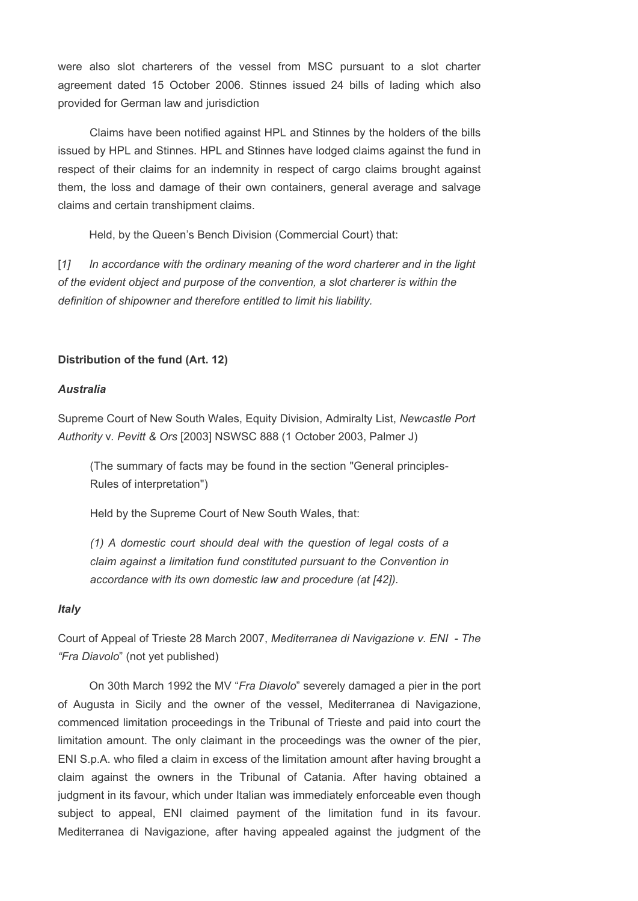were also slot charterers of the vessel from MSC pursuant to a slot charter agreement dated 15 October 2006. Stinnes issued 24 bills of lading which also provided for German law and jurisdiction

 Claims have been notified against HPL and Stinnes by the holders of the bills issued by HPL and Stinnes. HPL and Stinnes have lodged claims against the fund in respect of their claims for an indemnity in respect of cargo claims brought against them, the loss and damage of their own containers, general average and salvage claims and certain transhipment claims.

Held, by the Queen's Bench Division (Commercial Court) that:

[1] In accordance with the ordinary meaning of the word charterer and in the light of the evident object and purpose of the convention, a slot charterer is within the definition of shipowner and therefore entitled to limit his liability.

# Distribution of the fund (Art. 12)

# Australia

Supreme Court of New South Wales, Equity Division, Admiralty List, Newcastle Port Authority v. Pevitt & Ors [2003] NSWSC 888 (1 October 2003, Palmer J)

(The summary of facts may be found in the section "General principles-Rules of interpretation")

Held by the Supreme Court of New South Wales, that:

(1) A domestic court should deal with the question of legal costs of a claim against a limitation fund constituted pursuant to the Convention in accordance with its own domestic law and procedure (at [42]).

# **Italy**

Court of Appeal of Trieste 28 March 2007, Mediterranea di Navigazione v. ENI - The "Fra Diavolo" (not yet published)

 On 30th March 1992 the MV "Fra Diavolo" severely damaged a pier in the port of Augusta in Sicily and the owner of the vessel, Mediterranea di Navigazione, commenced limitation proceedings in the Tribunal of Trieste and paid into court the limitation amount. The only claimant in the proceedings was the owner of the pier, ENI S.p.A. who filed a claim in excess of the limitation amount after having brought a claim against the owners in the Tribunal of Catania. After having obtained a judgment in its favour, which under Italian was immediately enforceable even though subject to appeal, ENI claimed payment of the limitation fund in its favour. Mediterranea di Navigazione, after having appealed against the judgment of the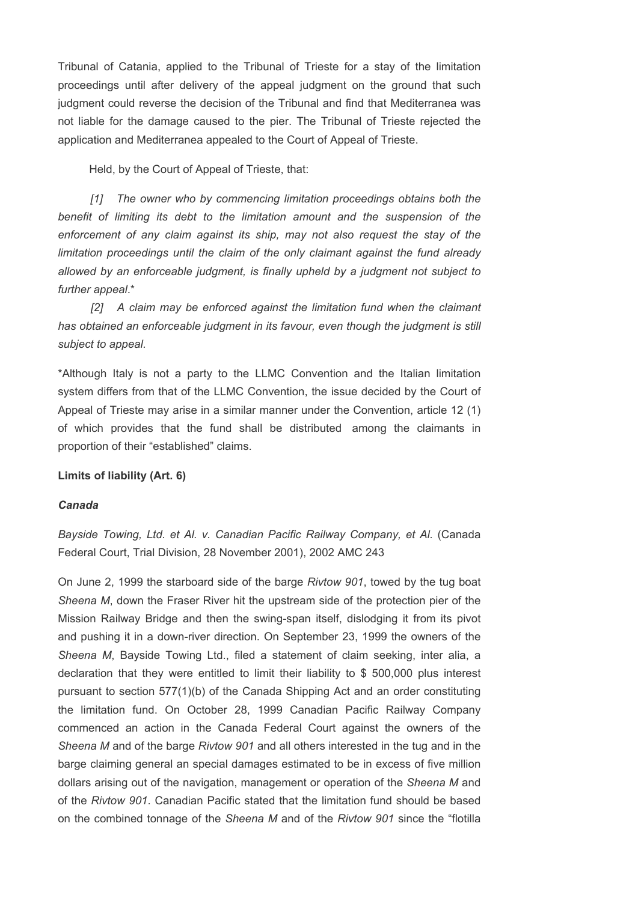Tribunal of Catania, applied to the Tribunal of Trieste for a stay of the limitation proceedings until after delivery of the appeal judgment on the ground that such judgment could reverse the decision of the Tribunal and find that Mediterranea was not liable for the damage caused to the pier. The Tribunal of Trieste rejected the application and Mediterranea appealed to the Court of Appeal of Trieste.

Held, by the Court of Appeal of Trieste, that:

 [1] The owner who by commencing limitation proceedings obtains both the benefit of limiting its debt to the limitation amount and the suspension of the enforcement of any claim against its ship, may not also request the stay of the limitation proceedings until the claim of the only claimant against the fund already allowed by an enforceable judgment, is finally upheld by a judgment not subject to further appeal.\*

[2] A claim may be enforced against the limitation fund when the claimant has obtained an enforceable judgment in its favour, even though the judgment is still subject to appeal.

\*Although Italy is not a party to the LLMC Convention and the Italian limitation system differs from that of the LLMC Convention, the issue decided by the Court of Appeal of Trieste may arise in a similar manner under the Convention, article 12 (1) of which provides that the fund shall be distributed among the claimants in proportion of their "established" claims.

#### Limits of liability (Art. 6)

### Canada

Bayside Towing, Ltd. et Al. v. Canadian Pacific Railway Company, et Al. (Canada Federal Court, Trial Division, 28 November 2001), 2002 AMC 243

On June 2, 1999 the starboard side of the barge Rivtow 901, towed by the tug boat Sheena M, down the Fraser River hit the upstream side of the protection pier of the Mission Railway Bridge and then the swing-span itself, dislodging it from its pivot and pushing it in a down-river direction. On September 23, 1999 the owners of the Sheena M, Bayside Towing Ltd., filed a statement of claim seeking, inter alia, a declaration that they were entitled to limit their liability to \$ 500,000 plus interest pursuant to section 577(1)(b) of the Canada Shipping Act and an order constituting the limitation fund. On October 28, 1999 Canadian Pacific Railway Company commenced an action in the Canada Federal Court against the owners of the Sheena M and of the barge Rivtow 901 and all others interested in the tug and in the barge claiming general an special damages estimated to be in excess of five million dollars arising out of the navigation, management or operation of the Sheena M and of the Rivtow 901. Canadian Pacific stated that the limitation fund should be based on the combined tonnage of the Sheena M and of the Rivtow 901 since the "flotilla"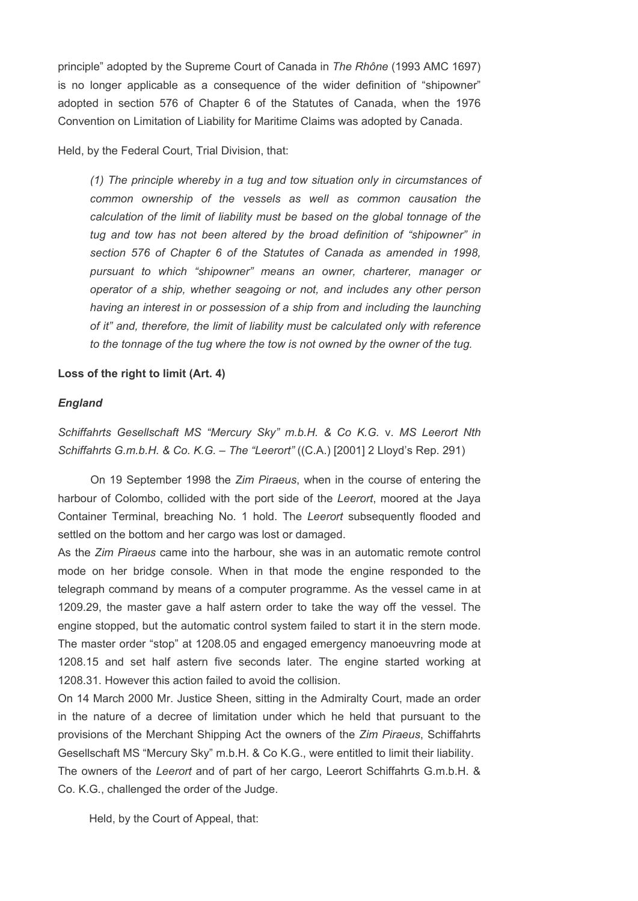principle" adopted by the Supreme Court of Canada in The Rhône (1993 AMC 1697) is no longer applicable as a consequence of the wider definition of "shipowner" adopted in section 576 of Chapter 6 of the Statutes of Canada, when the 1976 Convention on Limitation of Liability for Maritime Claims was adopted by Canada.

Held, by the Federal Court, Trial Division, that:

(1) The principle whereby in a tug and tow situation only in circumstances of common ownership of the vessels as well as common causation the calculation of the limit of liability must be based on the global tonnage of the tug and tow has not been altered by the broad definition of "shipowner" in section 576 of Chapter 6 of the Statutes of Canada as amended in 1998, pursuant to which "shipowner" means an owner, charterer, manager or operator of a ship, whether seagoing or not, and includes any other person having an interest in or possession of a ship from and including the launching of it" and, therefore, the limit of liability must be calculated only with reference to the tonnage of the tug where the tow is not owned by the owner of the tug.

#### Loss of the right to limit (Art. 4)

#### England

Schiffahrts Gesellschaft MS "Mercury Sky" m.b.H. & Co K.G. v. MS Leerort Nth Schiffahrts G.m.b.H. & Co. K.G. – The "Leerort" ((C.A.) [2001] 2 Lloyd's Rep. 291)

 On 19 September 1998 the Zim Piraeus, when in the course of entering the harbour of Colombo, collided with the port side of the Leerort, moored at the Jaya Container Terminal, breaching No. 1 hold. The Leerort subsequently flooded and settled on the bottom and her cargo was lost or damaged.

As the Zim Piraeus came into the harbour, she was in an automatic remote control mode on her bridge console. When in that mode the engine responded to the telegraph command by means of a computer programme. As the vessel came in at 1209.29, the master gave a half astern order to take the way off the vessel. The engine stopped, but the automatic control system failed to start it in the stern mode. The master order "stop" at 1208.05 and engaged emergency manoeuvring mode at 1208.15 and set half astern five seconds later. The engine started working at 1208.31. However this action failed to avoid the collision.

On 14 March 2000 Mr. Justice Sheen, sitting in the Admiralty Court, made an order in the nature of a decree of limitation under which he held that pursuant to the provisions of the Merchant Shipping Act the owners of the Zim Piraeus, Schiffahrts Gesellschaft MS "Mercury Sky" m.b.H. & Co K.G., were entitled to limit their liability. The owners of the Leerort and of part of her cargo, Leerort Schiffahrts G.m.b.H. & Co. K.G., challenged the order of the Judge.

Held, by the Court of Appeal, that: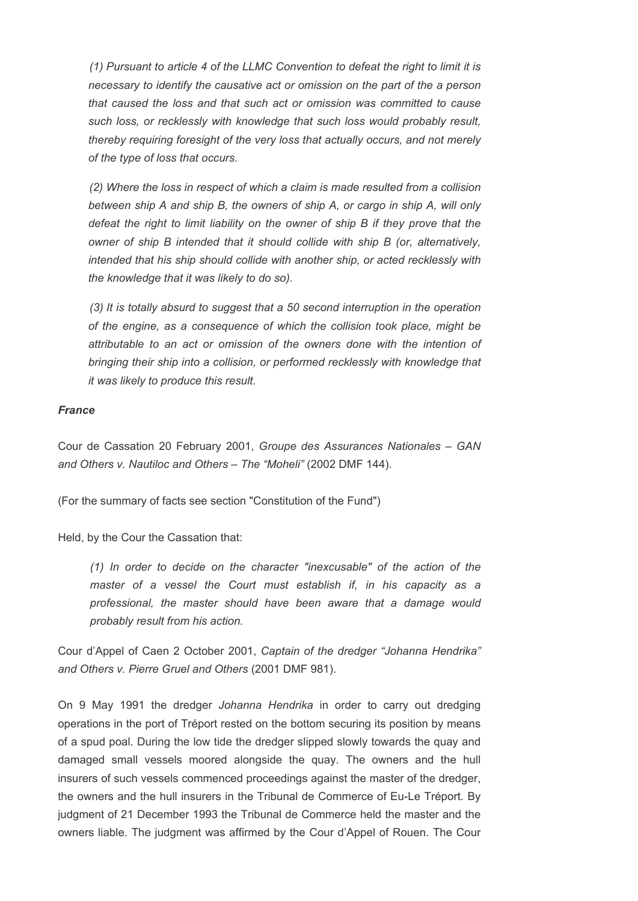(1) Pursuant to article 4 of the LLMC Convention to defeat the right to limit it is necessary to identify the causative act or omission on the part of the a person that caused the loss and that such act or omission was committed to cause such loss, or recklessly with knowledge that such loss would probably result, thereby requiring foresight of the very loss that actually occurs, and not merely of the type of loss that occurs.

 (2) Where the loss in respect of which a claim is made resulted from a collision between ship A and ship B, the owners of ship A, or cargo in ship A, will only defeat the right to limit liability on the owner of ship B if they prove that the owner of ship B intended that it should collide with ship B (or, alternatively, intended that his ship should collide with another ship, or acted recklessly with the knowledge that it was likely to do so).

 (3) It is totally absurd to suggest that a 50 second interruption in the operation of the engine, as a consequence of which the collision took place, might be attributable to an act or omission of the owners done with the intention of bringing their ship into a collision, or performed recklessly with knowledge that it was likely to produce this result.

# France

Cour de Cassation 20 February 2001, Groupe des Assurances Nationales – GAN and Others v. Nautiloc and Others – The "Moheli" (2002 DMF 144).

(For the summary of facts see section "Constitution of the Fund")

Held, by the Cour the Cassation that:

(1) In order to decide on the character "inexcusable" of the action of the master of a vessel the Court must establish if, in his capacity as a professional, the master should have been aware that a damage would probably result from his action.

Cour d'Appel of Caen 2 October 2001, Captain of the dredger "Johanna Hendrika" and Others v. Pierre Gruel and Others (2001 DMF 981).

On 9 May 1991 the dredger Johanna Hendrika in order to carry out dredging operations in the port of Tréport rested on the bottom securing its position by means of a spud poal. During the low tide the dredger slipped slowly towards the quay and damaged small vessels moored alongside the quay. The owners and the hull insurers of such vessels commenced proceedings against the master of the dredger, the owners and the hull insurers in the Tribunal de Commerce of Eu-Le Tréport. By judgment of 21 December 1993 the Tribunal de Commerce held the master and the owners liable. The judgment was affirmed by the Cour d'Appel of Rouen. The Cour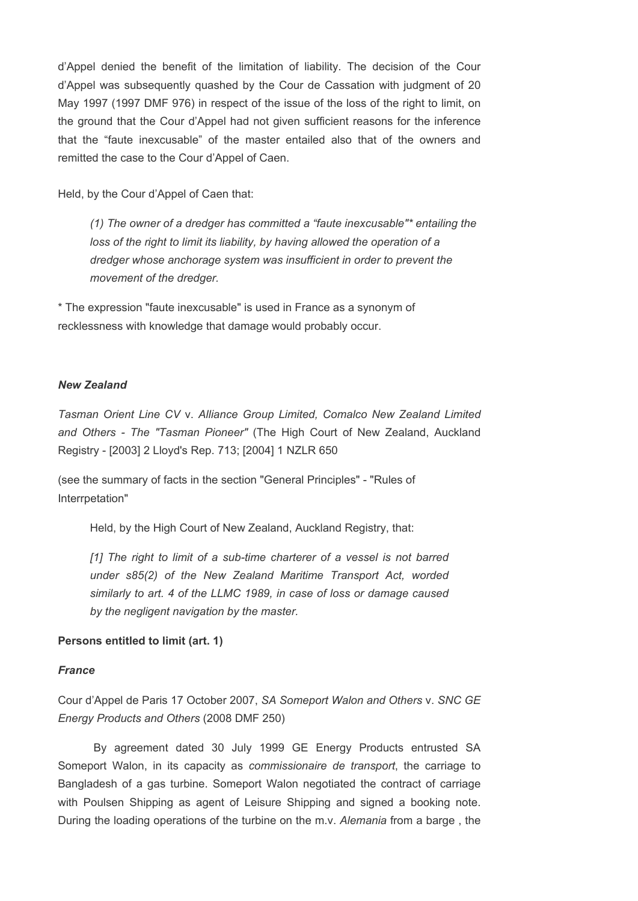d'Appel denied the benefit of the limitation of liability. The decision of the Cour d'Appel was subsequently quashed by the Cour de Cassation with judgment of 20 May 1997 (1997 DMF 976) in respect of the issue of the loss of the right to limit, on the ground that the Cour d'Appel had not given sufficient reasons for the inference that the "faute inexcusable" of the master entailed also that of the owners and remitted the case to the Cour d'Appel of Caen.

Held, by the Cour d'Appel of Caen that:

(1) The owner of a dredger has committed a "faute inexcusable"\* entailing the loss of the right to limit its liability, by having allowed the operation of a dredger whose anchorage system was insufficient in order to prevent the movement of the dredger.

\* The expression "faute inexcusable" is used in France as a synonym of recklessness with knowledge that damage would probably occur.

#### New Zealand

Tasman Orient Line CV v. Alliance Group Limited, Comalco New Zealand Limited and Others - The "Tasman Pioneer" (The High Court of New Zealand, Auckland Registry - [2003] 2 Lloyd's Rep. 713; [2004] 1 NZLR 650

(see the summary of facts in the section "General Principles" - "Rules of Interrpetation"

Held, by the High Court of New Zealand, Auckland Registry, that:

[1] The right to limit of a sub-time charterer of a vessel is not barred under s85(2) of the New Zealand Maritime Transport Act, worded similarly to art. 4 of the LLMC 1989, in case of loss or damage caused by the negligent navigation by the master.

# Persons entitled to limit (art. 1)

#### France

Cour d'Appel de Paris 17 October 2007, SA Someport Walon and Others v. SNC GE Energy Products and Others (2008 DMF 250)

 By agreement dated 30 July 1999 GE Energy Products entrusted SA Someport Walon, in its capacity as commissionaire de transport, the carriage to Bangladesh of a gas turbine. Someport Walon negotiated the contract of carriage with Poulsen Shipping as agent of Leisure Shipping and signed a booking note. During the loading operations of the turbine on the m.v. Alemania from a barge, the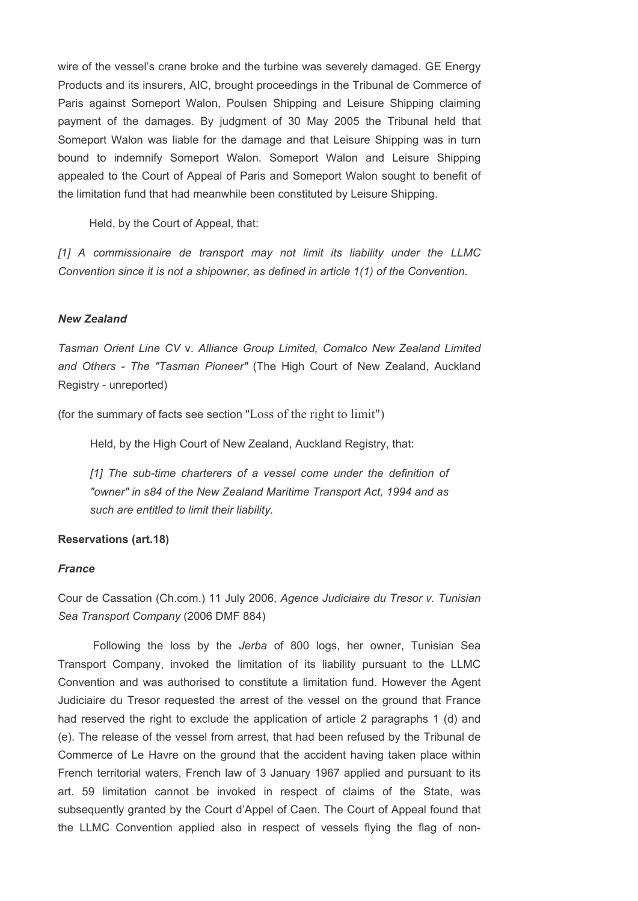wire of the vessel's crane broke and the turbine was severely damaged. GE Energy Products and its insurers, AIC, brought proceedings in the Tribunal de Commerce of Paris against Someport Walon, Poulsen Shipping and Leisure Shipping claiming payment of the damages. By judgment of 30 May 2005 the Tribunal held that Someport Walon was liable for the damage and that Leisure Shipping was in turn bound to indemnify Someport Walon. Someport Walon and Leisure Shipping appealed to the Court of Appeal of Paris and Someport Walon sought to benefit of the limitation fund that had meanwhile been constituted by Leisure Shipping.

Held, by the Court of Appeal, that:

[1] A commissionaire de transport may not limit its liability under the LLMC Convention since it is not a shipowner, as defined in article 1(1) of the Convention.

### New Zealand

Tasman Orient Line CV v. Alliance Group Limited, Comalco New Zealand Limited and Others - The "Tasman Pioneer" (The High Court of New Zealand, Auckland Registry - unreported)

(for the summary of facts see section "Loss of the right to limit")

Held, by the High Court of New Zealand, Auckland Registry, that:

[1] The sub-time charterers of a vessel come under the definition of "owner" in s84 of the New Zealand Maritime Transport Act, 1994 and as such are entitled to limit their liability.

#### Reservations (art.18)

#### **France**

Cour de Cassation (Ch.com.) 11 July 2006, Agence Judiciaire du Tresor v. Tunisian Sea Transport Company (2006 DMF 884)

 Following the loss by the Jerba of 800 logs, her owner, Tunisian Sea Transport Company, invoked the limitation of its liability pursuant to the LLMC Convention and was authorised to constitute a limitation fund. However the Agent Judiciaire du Tresor requested the arrest of the vessel on the ground that France had reserved the right to exclude the application of article 2 paragraphs 1 (d) and (e). The release of the vessel from arrest, that had been refused by the Tribunal de Commerce of Le Havre on the ground that the accident having taken place within French territorial waters, French law of 3 January 1967 applied and pursuant to its art. 59 limitation cannot be invoked in respect of claims of the State, was subsequently granted by the Court d'Appel of Caen. The Court of Appeal found that the LLMC Convention applied also in respect of vessels flying the flag of non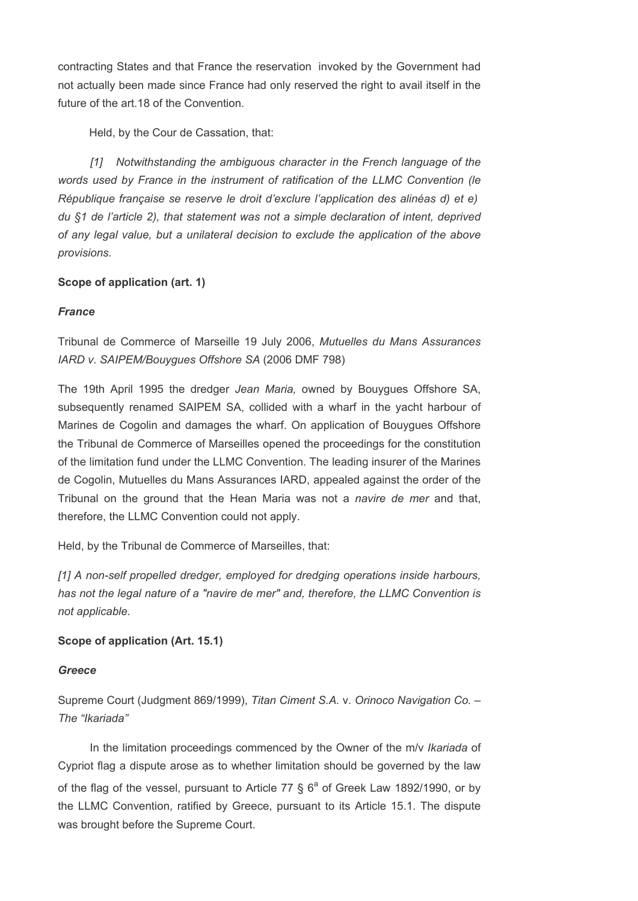contracting States and that France the reservation invoked by the Government had not actually been made since France had only reserved the right to avail itself in the future of the art.18 of the Convention.

Held, by the Cour de Cassation, that:

 [1] Notwithstanding the ambiguous character in the French language of the words used by France in the instrument of ratification of the LLMC Convention (le République française se reserve le droit d'exclure l'application des alinéas d) et e) du §1 de l'article 2), that statement was not a simple declaration of intent, deprived of any legal value, but a unilateral decision to exclude the application of the above provisions.

# Scope of application (art. 1)

# **France**

Tribunal de Commerce of Marseille 19 July 2006, Mutuelles du Mans Assurances IARD v. SAIPEM/Bouygues Offshore SA (2006 DMF 798)

The 19th April 1995 the dredger Jean Maria, owned by Bouygues Offshore SA, subsequently renamed SAIPEM SA, collided with a wharf in the yacht harbour of Marines de Cogolin and damages the wharf. On application of Bouygues Offshore the Tribunal de Commerce of Marseilles opened the proceedings for the constitution of the limitation fund under the LLMC Convention. The leading insurer of the Marines de Cogolin, Mutuelles du Mans Assurances IARD, appealed against the order of the Tribunal on the ground that the Hean Maria was not a navire de mer and that, therefore, the LLMC Convention could not apply.

Held, by the Tribunal de Commerce of Marseilles, that:

[1] A non-self propelled dredger, employed for dredging operations inside harbours, has not the legal nature of a "navire de mer" and, therefore, the LLMC Convention is not applicable.

# Scope of application (Art. 15.1)

# Greece

Supreme Court (Judgment 869/1999), Titan Ciment S.A. v. Orinoco Navigation Co. – The "Ikariada"

In the limitation proceedings commenced by the Owner of the m/v Ikariada of Cypriot flag a dispute arose as to whether limitation should be governed by the law of the flag of the vessel, pursuant to Article 77  $\S$  6<sup>a</sup> of Greek Law 1892/1990, or by the LLMC Convention, ratified by Greece, pursuant to its Article 15.1. The dispute was brought before the Supreme Court.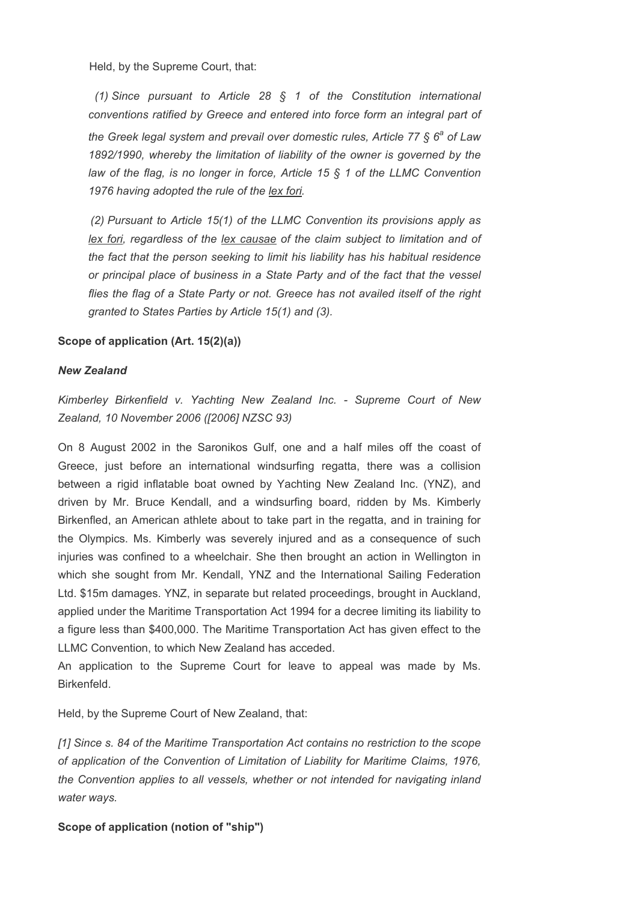Held, by the Supreme Court, that:

(1) Since pursuant to Article 28  $\S$  1 of the Constitution international conventions ratified by Greece and entered into force form an integral part of the Greek legal system and prevail over domestic rules, Article 77  $\S$  6<sup>a</sup> of Law 1892/1990, whereby the limitation of liability of the owner is governed by the law of the flag, is no longer in force, Article 15 § 1 of the LLMC Convention 1976 having adopted the rule of the lex fori.

 (2) Pursuant to Article 15(1) of the LLMC Convention its provisions apply as lex fori, regardless of the lex causae of the claim subject to limitation and of the fact that the person seeking to limit his liability has his habitual residence or principal place of business in a State Party and of the fact that the vessel flies the flag of a State Party or not. Greece has not availed itself of the right granted to States Parties by Article 15(1) and (3).

# Scope of application (Art. 15(2)(a))

### New Zealand

Kimberley Birkenfield v. Yachting New Zealand Inc. - Supreme Court of New Zealand, 10 November 2006 ([2006] NZSC 93)

On 8 August 2002 in the Saronikos Gulf, one and a half miles off the coast of Greece, just before an international windsurfing regatta, there was a collision between a rigid inflatable boat owned by Yachting New Zealand Inc. (YNZ), and driven by Mr. Bruce Kendall, and a windsurfing board, ridden by Ms. Kimberly Birkenfled, an American athlete about to take part in the regatta, and in training for the Olympics. Ms. Kimberly was severely injured and as a consequence of such injuries was confined to a wheelchair. She then brought an action in Wellington in which she sought from Mr. Kendall, YNZ and the International Sailing Federation Ltd. \$15m damages. YNZ, in separate but related proceedings, brought in Auckland, applied under the Maritime Transportation Act 1994 for a decree limiting its liability to a figure less than \$400,000. The Maritime Transportation Act has given effect to the LLMC Convention, to which New Zealand has acceded.

An application to the Supreme Court for leave to appeal was made by Ms. Birkenfeld.

Held, by the Supreme Court of New Zealand, that:

[1] Since s. 84 of the Maritime Transportation Act contains no restriction to the scope of application of the Convention of Limitation of Liability for Maritime Claims, 1976, the Convention applies to all vessels, whether or not intended for navigating inland water ways.

# Scope of application (notion of "ship")